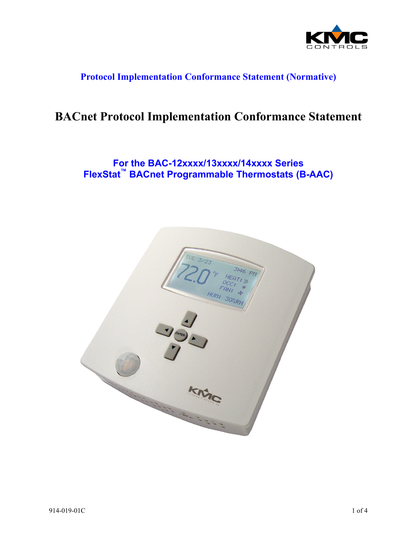

## **Protocol Implementation Conformance Statement (Normative)**

# **BACnet Protocol Implementation Conformance Statement**

# **For the BAC-12xxxx/13xxxx/14xxxx Series FlexStat™ BACnet Programmable Thermostats (B-AAC)**

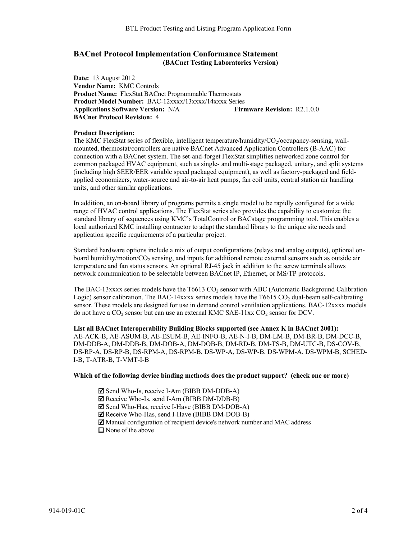### **BACnet Protocol Implementation Conformance Statement (BACnet Testing Laboratories Version)**

**Date:** 13 August 2012 **Vendor Name:** KMC Controls **Product Name:** FlexStat BACnet Programmable Thermostats **Product Model Number:** BAC-12xxxx/13xxxx/14xxxx Series **Applications Software Version:** N/A **Firmware Revision:** R2.1.0.0 **BACnet Protocol Revision:** 4

### **Product Description:**

The KMC FlexStat series of flexible, intelligent temperature/humidity/CO<sub>2</sub>/occupancy-sensing, wallmounted, thermostat/controllers are native BACnet Advanced Application Controllers (B-AAC) for connection with a BACnet system. The set-and-forget FlexStat simplifies networked zone control for common packaged HVAC equipment, such as single- and multi-stage packaged, unitary, and split systems (including high SEER/EER variable speed packaged equipment), as well as factory-packaged and fieldapplied economizers, water-source and air-to-air heat pumps, fan coil units, central station air handling units, and other similar applications.

In addition, an on-board library of programs permits a single model to be rapidly configured for a wide range of HVAC control applications. The FlexStat series also provides the capability to customize the standard library of sequences using KMC's TotalControl or BACstage programming tool. This enables a local authorized KMC installing contractor to adapt the standard library to the unique site needs and application specific requirements of a particular project.

Standard hardware options include a mix of output configurations (relays and analog outputs), optional onboard humidity/motion/CO<sub>2</sub> sensing, and inputs for additional remote external sensors such as outside air temperature and fan status sensors. An optional RJ-45 jack in addition to the screw terminals allows network communication to be selectable between BACnet IP, Ethernet, or MS/TP protocols.

The BAC-13xxxx series models have the T6613 CO<sub>2</sub> sensor with ABC (Automatic Background Calibration Logic) sensor calibration. The BAC-14xxxx series models have the T6615  $CO<sub>2</sub>$  dual-beam self-calibrating sensor. These models are designed for use in demand control ventilation applications. BAC-12xxxx models do not have a  $CO_2$  sensor but can use an external KMC SAE-11xx  $CO_2$  sensor for DCV.

**List all BACnet Interoperability Building Blocks supported (see Annex K in BACnet 2001):**  AE-ACK-B, AE-ASUM-B, AE-ESUM-B, AE-INFO-B, AE-N-I-B, DM-LM-B, DM-BR-B, DM-DCC-B, DM-DDB-A, DM-DDB-B, DM-DOB-A, DM-DOB-B, DM-RD-B, DM-TS-B, DM-UTC-B, DS-COV-B, DS-RP-A, DS-RP-B, DS-RPM-A, DS-RPM-B, DS-WP-A, DS-WP-B, DS-WPM-A, DS-WPM-B, SCHED-I-B, T-ATR-B, T-VMT-I-B

#### **Which of the following device binding methods does the product support? (check one or more)**

- ⊠ Send Who-Is, receive I-Am (BIBB DM-DDB-A)
- $\boldsymbol{\mathsf{Z}}$  Receive Who-Is, send I-Am (BIBB DM-DDB-B)
- ⊠ Send Who-Has, receive I-Have (BIBB DM-DOB-A)
- Receive Who-Has, send I-Have (BIBB DM-DOB-B)
- Manual configuration of recipient device's network number and MAC address
- $\Box$  None of the above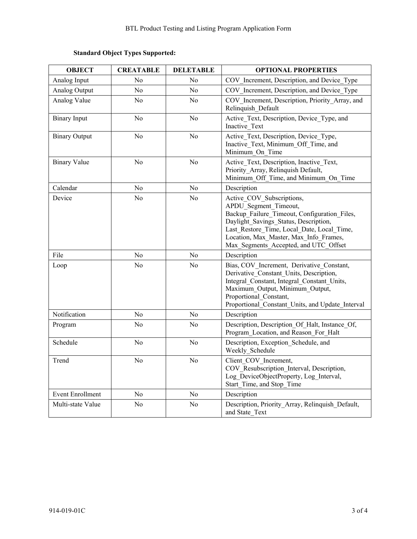### **Standard Object Types Supported:**

| <b>OBJECT</b>           | <b>CREATABLE</b> | <b>DELETABLE</b> | <b>OPTIONAL PROPERTIES</b>                                                                                                                                                                                                                                                   |  |
|-------------------------|------------------|------------------|------------------------------------------------------------------------------------------------------------------------------------------------------------------------------------------------------------------------------------------------------------------------------|--|
| Analog Input            | N <sub>0</sub>   | N <sub>0</sub>   | COV Increment, Description, and Device Type                                                                                                                                                                                                                                  |  |
| Analog Output           | No               | N <sub>0</sub>   | COV Increment, Description, and Device Type                                                                                                                                                                                                                                  |  |
| Analog Value            | N <sub>o</sub>   | N <sub>o</sub>   | COV Increment, Description, Priority Array, and<br>Relinquish Default                                                                                                                                                                                                        |  |
| <b>Binary Input</b>     | N <sub>0</sub>   | N <sub>0</sub>   | Active Text, Description, Device Type, and<br>Inactive Text                                                                                                                                                                                                                  |  |
| <b>Binary Output</b>    | N <sub>o</sub>   | No               | Active Text, Description, Device Type,<br>Inactive Text, Minimum Off Time, and<br>Minimum On Time                                                                                                                                                                            |  |
| <b>Binary Value</b>     | N <sub>0</sub>   | N <sub>0</sub>   | Active Text, Description, Inactive Text,<br>Priority Array, Relinquish Default,<br>Minimum Off Time, and Minimum On Time                                                                                                                                                     |  |
| Calendar                | N <sub>0</sub>   | N <sub>0</sub>   | Description                                                                                                                                                                                                                                                                  |  |
| Device                  | N <sub>o</sub>   | N <sub>o</sub>   | Active COV Subscriptions,<br>APDU Segment Timeout,<br>Backup Failure Timeout, Configuration Files,<br>Daylight Savings Status, Description,<br>Last Restore Time, Local Date, Local Time,<br>Location, Max_Master, Max_Info_Frames,<br>Max_Segments_Accepted, and UTC_Offset |  |
| File                    | N <sub>o</sub>   | N <sub>o</sub>   | Description                                                                                                                                                                                                                                                                  |  |
| Loop                    | N <sub>o</sub>   | N <sub>o</sub>   | Bias, COV Increment, Derivative Constant,<br>Derivative Constant Units, Description,<br>Integral Constant, Integral Constant Units,<br>Maximum Output, Minimum Output,<br>Proportional Constant,<br>Proportional Constant Units, and Update Interval                         |  |
| Notification            | N <sub>o</sub>   | N <sub>o</sub>   | Description                                                                                                                                                                                                                                                                  |  |
| Program                 | N <sub>o</sub>   | No               | Description, Description Of Halt, Instance Of,<br>Program Location, and Reason For Halt                                                                                                                                                                                      |  |
| Schedule                | N <sub>o</sub>   | N <sub>o</sub>   | Description, Exception Schedule, and<br>Weekly Schedule                                                                                                                                                                                                                      |  |
| Trend                   | N <sub>o</sub>   | N <sub>o</sub>   | Client COV Increment,<br>COV Resubscription Interval, Description,<br>Log DeviceObjectProperty, Log Interval,<br>Start Time, and Stop Time                                                                                                                                   |  |
| <b>Event Enrollment</b> | N <sub>0</sub>   | N <sub>0</sub>   | Description                                                                                                                                                                                                                                                                  |  |
| Multi-state Value       | N <sub>o</sub>   | N <sub>o</sub>   | Description, Priority_Array, Relinquish_Default,<br>and State Text                                                                                                                                                                                                           |  |